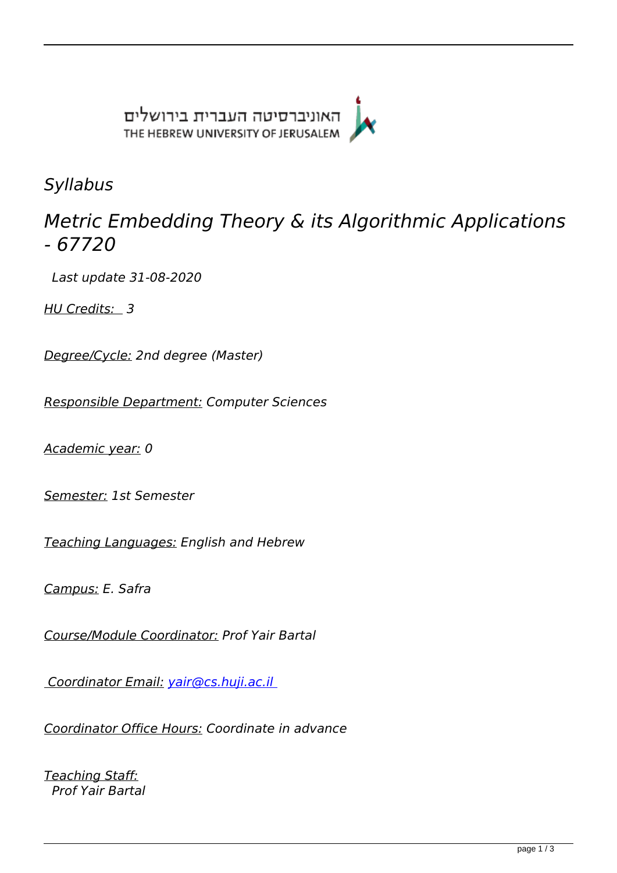

*Syllabus*

## *Metric Embedding Theory & its Algorithmic Applications - 67720*

 *Last update 31-08-2020* 

*HU Credits: 3* 

*Degree/Cycle: 2nd degree (Master)* 

*Responsible Department: Computer Sciences* 

*Academic year: 0* 

*Semester: 1st Semester* 

*Teaching Languages: English and Hebrew* 

*Campus: E. Safra* 

*Course/Module Coordinator: Prof Yair Bartal* 

 *Coordinator Email: [yair@cs.huji.ac.il](mailto:yair@cs.huji.ac.il )* 

*Coordinator Office Hours: Coordinate in advance* 

*Teaching Staff: Prof Yair Bartal*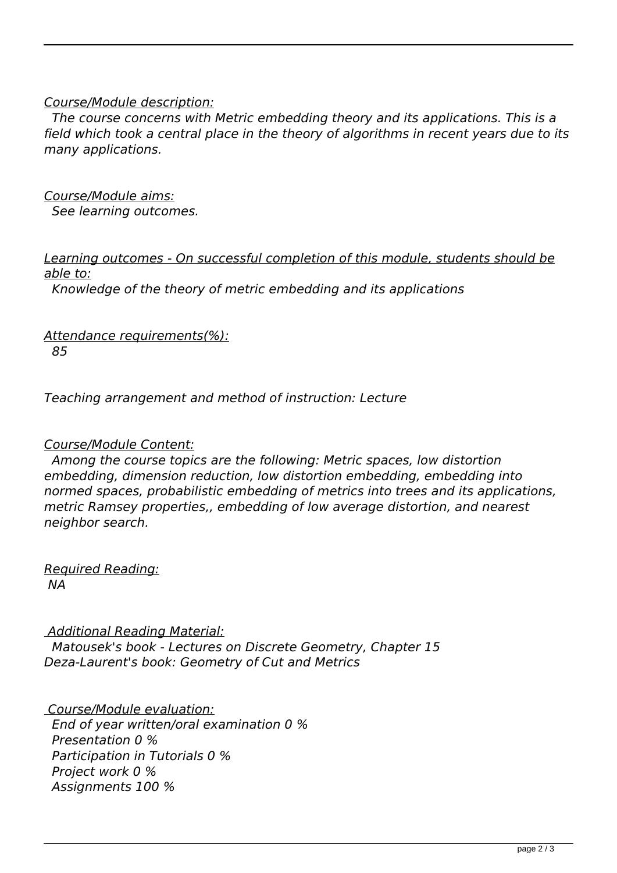## *Course/Module description:*

 *The course concerns with Metric embedding theory and its applications. This is a field which took a central place in the theory of algorithms in recent years due to its many applications.* 

*Course/Module aims: See learning outcomes.* 

*Learning outcomes - On successful completion of this module, students should be able to:*

 *Knowledge of the theory of metric embedding and its applications* 

*Attendance requirements(%):*

 *85* 

*Teaching arrangement and method of instruction: Lecture* 

## *Course/Module Content:*

 *Among the course topics are the following: Metric spaces, low distortion embedding, dimension reduction, low distortion embedding, embedding into normed spaces, probabilistic embedding of metrics into trees and its applications, metric Ramsey properties,, embedding of low average distortion, and nearest neighbor search.* 

*Required Reading: NA* 

 *Additional Reading Material: Matousek's book - Lectures on Discrete Geometry, Chapter 15 Deza-Laurent's book: Geometry of Cut and Metrics* 

 *Course/Module evaluation: End of year written/oral examination 0 % Presentation 0 % Participation in Tutorials 0 % Project work 0 % Assignments 100 %*